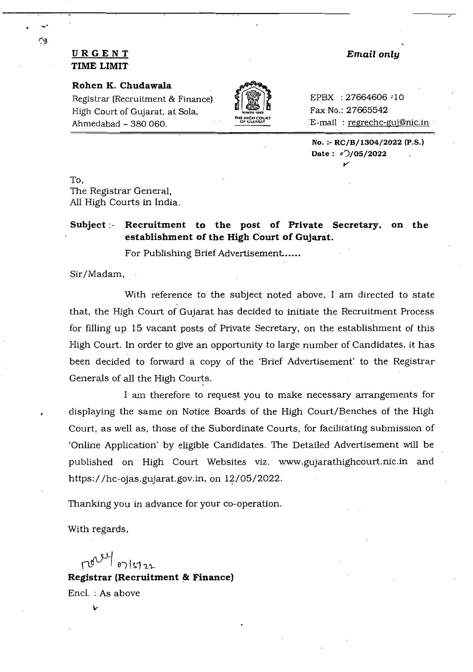## **URGENT Email only TIME LIMIT**

#### **Rohen K. Chudawala**

Registrar (Recruitment & Finance)  $\oint$   $\binom{27664606}{10}$  EPBX : 27664606 -10 High Court of Gujarat. at Sola.  $\left|\frac{16.0001}{40.000000}\right|$  Fax No.: 27665542 Ahmedabad - 380 060. The member cover E-mail: regrechc-guj@nic.in



**No. :- RC/B/1304/2022** (p.S.) **Date:** *0')/05/2022*  **.** 

To, The Registrar General, All High Courts in India.

### **Subject; Recruitment to the post of Private Secretary. on the 'establishment of the High C'ourt of Gujarat.**

For Publishing Brief**Advertisement.. ....** 

Sir/Madam,

With reference to the subject noted above, I am directed to state that, the High Court of Gujarat has decided to initiate the Recruitment Process for filling up 15 vacant posts of Private Secretary. on the establishment of this High Court. In order to give an opportunity to large number of Candidates, it has been decided to forward a copy of the 'Brief Advertisement' to the Registrar Generals of all the High Courts.

I am therefore to request you to make necessary arrangements for displaying the same on Notice Boards of the High Court/Benches of the High Court, as well as, those of the Subordinate Courts, for facilitating submission of 'Online Application' by eligible Candidates. The Detailed Advertisement will be published on High Court Websites viz. www.gujarathighcourt.nic.in and https://hc-ojas.gujarat.gov.in. on  $12/05/2022$ .

Thanking you in advance for your co-operation.

With regards,

 $0)$   $|5122$ **Registrar (Recruitment & Finance)** Encl. : As above

17

### *v*